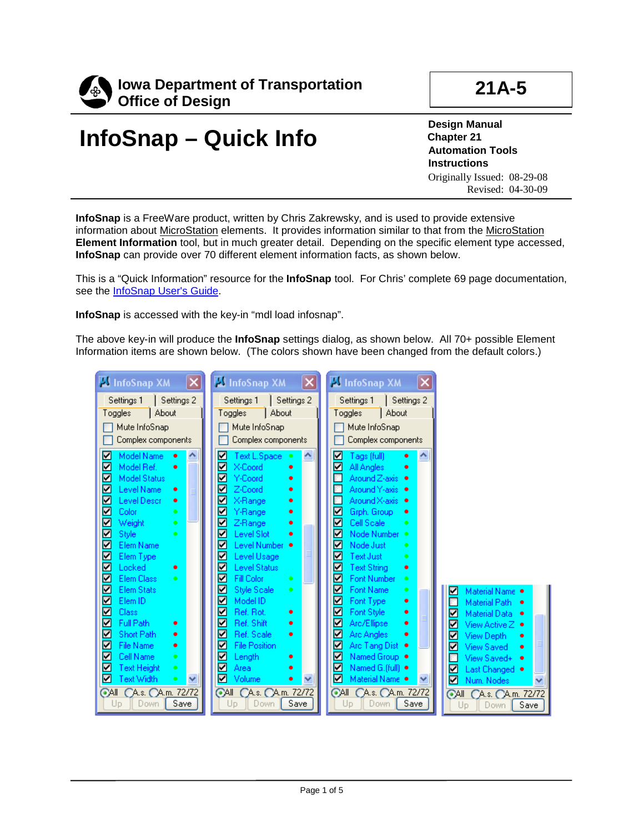

## **InfoSnap – Quick Info**

**Design Manual Chapter 21 Automation Tools Instructions** Originally Issued: 08-29-08 Revised: 04-30-09

**InfoSnap** is a FreeWare product, written by Chris Zakrewsky, and is used to provide extensive information about MicroStation elements. It provides information similar to that from the MicroStation **Element Information** tool, but in much greater detail. Depending on the specific element type accessed, **InfoSnap** can provide over 70 different element information facts, as shown below.

This is a "Quick Information" resource for the **InfoSnap** tool. For Chris' complete 69 page documentation, see the <u>InfoSnap User's Guide</u>.

**InfoSnap** is accessed with the key-in "mdl load infosnap".

The above key-in will produce the **InfoSnap** settings dialog, as shown below. All 70+ possible Element Information items are shown below. (The colors shown have been changed from the default colors.)

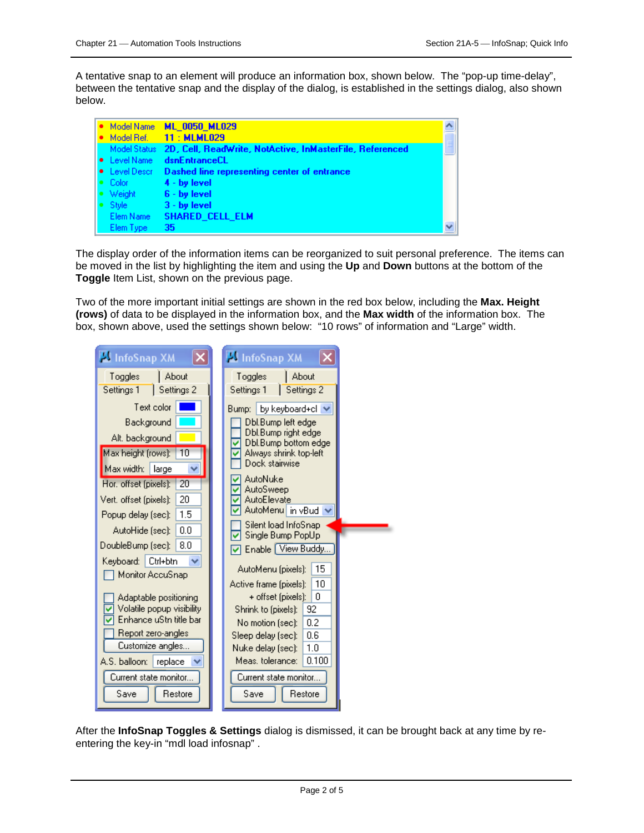A tentative snap to an element will produce an information box, shown below. The "pop-up time-delay", between the tentative snap and the display of the dialog, is established in the settings dialog, also shown below.

| Model Name                | <b>ML 0050 ML029</b>                                                  |  |
|---------------------------|-----------------------------------------------------------------------|--|
| Model Ref.                | 11: MLML029                                                           |  |
|                           | Model Status 2D, Cell, ReadWrite, NotActive, InMasterFile, Referenced |  |
| • Level Name              | dsnEntranceCL                                                         |  |
| $\bullet$ Level Described | Dashed line representing center of entrance                           |  |
| $\bullet$ Color           | $4 - by level$                                                        |  |
| Weight                    | $6 - by level$                                                        |  |
| Style                     | $3 - by level$                                                        |  |
| Elem Name                 | SHARED_CELL_ELM                                                       |  |
| Elem Type                 | 35                                                                    |  |

The display order of the information items can be reorganized to suit personal preference. The items can be moved in the list by highlighting the item and using the **Up** and **Down** buttons at the bottom of the **Toggle** Item List, shown on the previous page.

Two of the more important initial settings are shown in the red box below, including the **Max. Height (rows)** of data to be displayed in the information box, and the **Max width** of the information box. The box, shown above, used the settings shown below: "10 rows" of information and "Large" width.

| <b>K</b> InfoSnap XM                   | <b>El InfoSnap XM</b>                        |
|----------------------------------------|----------------------------------------------|
| About<br>Toggles                       | About<br>Toggles                             |
| Settings 1<br>Settings 2               | Settings 1<br>Settings 2                     |
| Text color                             | by keyboard+cl<br>Bump:                      |
| Background                             | Dbl.Bump left edgel                          |
| Alt. background                        | Dbl.Bump right edgel<br>Dbl.Bump bottom edge |
| Max height (rows):<br>10               | Always shrink top-left                       |
| Max width:   large                     | Dock stairwise                               |
| Hor. offset (pixels):<br>20            | AutoNuke<br><b>AutoSweep</b>                 |
| 20<br>Vert. offset (pixels):           | AutoElevate                                  |
| 1.5<br>Popup delay (sec):              | AutoMenu in vBud                             |
| 0.0<br>AutoHide (sec):                 | Silent load InfoSnap<br>Single Bump PopUp    |
| 8.0<br>DoubleBump (sec):               | Enable View Buddy.                           |
| Ctrl+btn<br>Keyboard:                  | 15<br>AutoMenu (pixels):                     |
| Monitor AccuSnap                       | 10<br>Active frame (pixels):                 |
| Adaptable positioning                  | 0<br>+ offset (pixels):                      |
| Volatile popup visibility              | Shrink to (pixels):<br>92                    |
| Enhance uStn title bar                 | 0.2<br>No motion [sec]: I                    |
| Report zero-angles<br>Customize angles | Sleep delay (sec):<br>0.6                    |
|                                        | 1.0<br>Nuke delay (sec):                     |
| A.S. balloon:<br>replace               | Meas, tolerance:<br>0.100                    |
| Current state monitor                  | Current state monitor                        |
| Restore<br>Save                        | Restore<br>Save                              |

After the **InfoSnap Toggles & Settings** dialog is dismissed, it can be brought back at any time by reentering the key-in "mdl load infosnap" .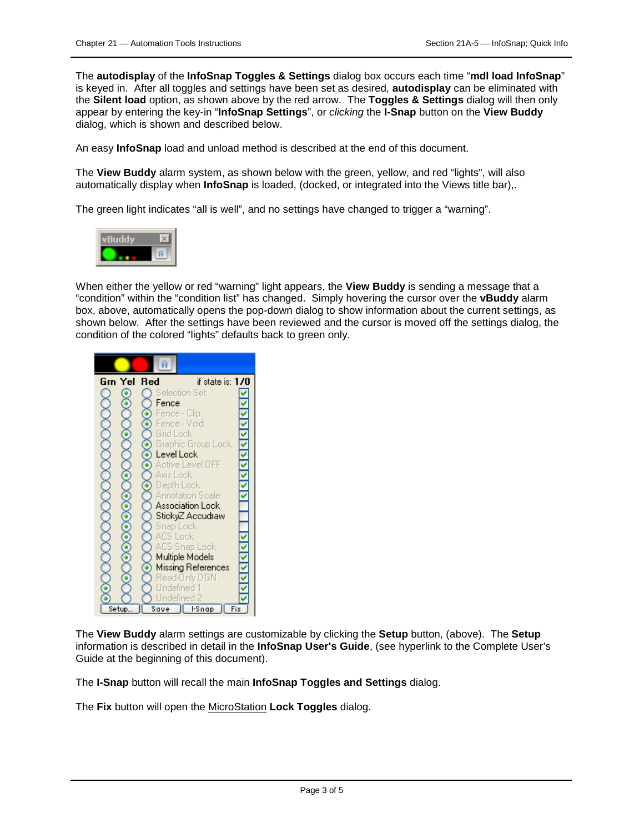The **autodisplay** of the **InfoSnap Toggles & Settings** dialog box occurs each time "**mdl load InfoSnap**" is keyed in. After all toggles and settings have been set as desired, **autodisplay** can be eliminated with the **Silent load** option, as shown above by the red arrow. The **Toggles & Settings** dialog will then only appear by entering the key-in "**InfoSnap Settings**", or *clicking* the **I-Snap** button on the **View Buddy** dialog, which is shown and described below.

An easy **InfoSnap** load and unload method is described at the end of this document.

The **View Buddy** alarm system, as shown below with the green, yellow, and red "lights", will also automatically display when **InfoSnap** is loaded, (docked, or integrated into the Views title bar),.

The green light indicates "all is well", and no settings have changed to trigger a "warning".



When either the yellow or red "warning" light appears, the **View Buddy** is sending a message that a "condition" within the "condition list" has changed. Simply hovering the cursor over the **vBuddy** alarm box, above, automatically opens the pop-down dialog to show information about the current settings, as shown below. After the settings have been reviewed and the cursor is moved off the settings dialog, the condition of the colored "lights" defaults back to green only.



The **View Buddy** alarm settings are customizable by clicking the **Setup** button, (above). The **Setup** information is described in detail in the **InfoSnap User's Guide**, (see hyperlink to the Complete User's Guide at the beginning of this document).

The **I-Snap** button will recall the main **InfoSnap Toggles and Settings** dialog.

The **Fix** button will open the MicroStation **Lock Toggles** dialog.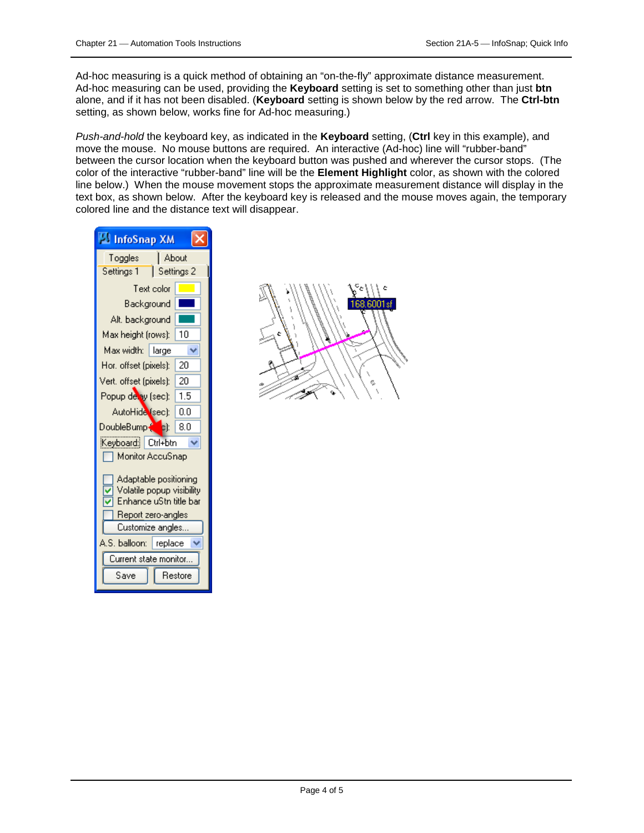Ad-hoc measuring is a quick method of obtaining an "on-the-fly" approximate distance measurement. Ad-hoc measuring can be used, providing the **Keyboard** setting is set to something other than just **btn** alone, and if it has not been disabled. (**Keyboard** setting is shown below by the red arrow. The **Ctrl-btn** setting, as shown below, works fine for Ad-hoc measuring.)

*Push-and-hold* the keyboard key, as indicated in the **Keyboard** setting, (**Ctrl** key in this example), and move the mouse. No mouse buttons are required. An interactive (Ad-hoc) line will "rubber-band" between the cursor location when the keyboard button was pushed and wherever the cursor stops. (The color of the interactive "rubber-band" line will be the **Element Highlight** color, as shown with the colored line below.) When the mouse movement stops the approximate measurement distance will display in the text box, as shown below. After the keyboard key is released and the mouse moves again, the temporary colored line and the distance text will disappear.

| <b>To InfoSnap XM</b>                                                                                                  |         |  |  |  |  |
|------------------------------------------------------------------------------------------------------------------------|---------|--|--|--|--|
| About<br>Toggles                                                                                                       |         |  |  |  |  |
| Settings 2<br>Settings 1                                                                                               |         |  |  |  |  |
| Text color                                                                                                             |         |  |  |  |  |
| Background                                                                                                             |         |  |  |  |  |
| Alt. background                                                                                                        |         |  |  |  |  |
| Max height (rows):                                                                                                     | 10      |  |  |  |  |
| Max width:   large                                                                                                     |         |  |  |  |  |
| Hor, offset (pixels);                                                                                                  | 20      |  |  |  |  |
| Vert. offset (pixels):                                                                                                 | 20      |  |  |  |  |
| Popup de ay (sec):                                                                                                     | 1.5     |  |  |  |  |
| AutoHide (sec):                                                                                                        | 0.0     |  |  |  |  |
| DoubleBump ( <mark>Co</mark> c):                                                                                       | 8.0     |  |  |  |  |
| Keyboard: Ctrl+btn                                                                                                     |         |  |  |  |  |
| Monitor AccuSnap                                                                                                       |         |  |  |  |  |
| Adaptable positioning<br>Volatile popup visibility<br>Enhance uStn title bar<br>Report zero-angles<br>Customize angles |         |  |  |  |  |
| A.S. balloon:<br>replace                                                                                               |         |  |  |  |  |
| Current state monitor.                                                                                                 |         |  |  |  |  |
| Save                                                                                                                   | Restore |  |  |  |  |